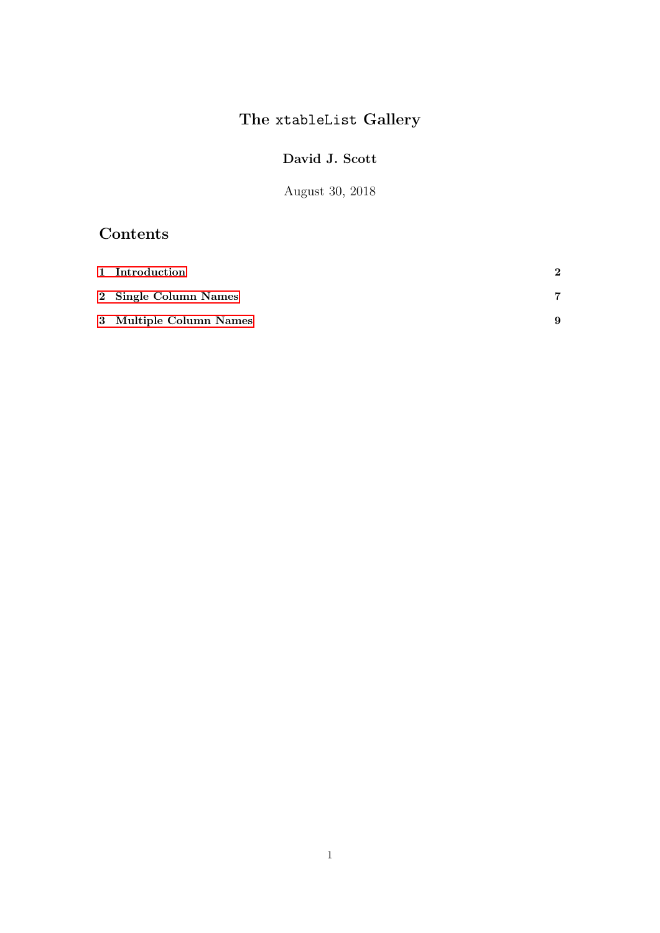# The xtableList Gallery

### David J. Scott

August 30, 2018

## Contents

| 1 Introduction          | $\mathbf 2$ |
|-------------------------|-------------|
| 2 Single Column Names   |             |
| 3 Multiple Column Names | 9           |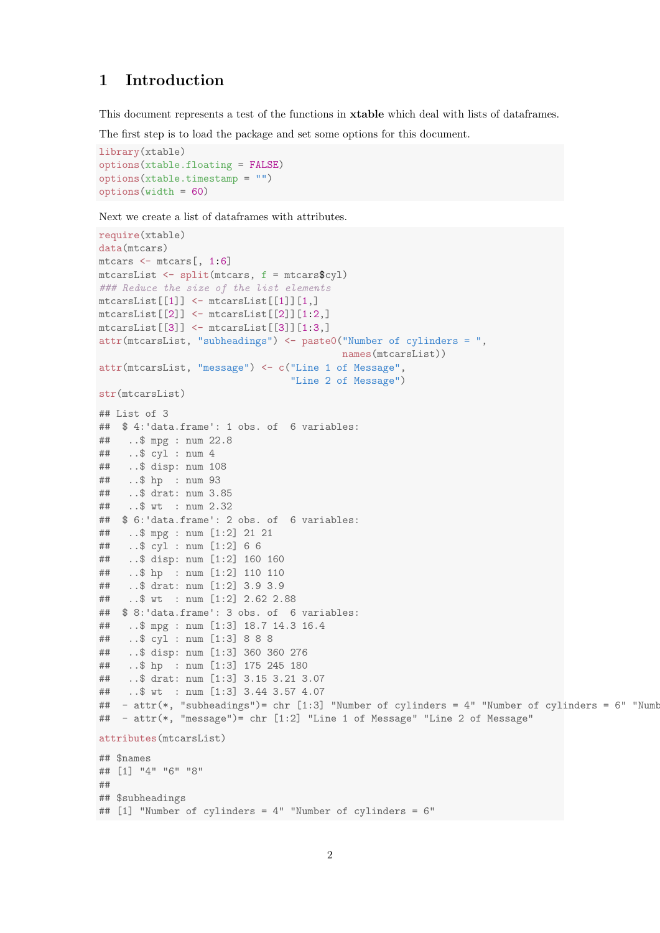#### <span id="page-1-0"></span>Introduction  $\mathbf{1}$

This document represents a test of the functions in **xtable** which deal with lists of dataframes.

The first step is to load the package and set some options for this document.

```
library(xtable)
options(xtable.floating = FALSE)options(xtable.timestamp = "")optionswidth = 60)
```
Next we create a list of dataframes with attributes.

```
require(xtable)
data(mtcars)
mtcars \leq mtcars[, 1:6]
mtcarsList < - split(mtcars, f = mtcars### Reduce the size of the list elements
mtcarsList[[1]] \leftarrow mtcarsList[[1]][1,]mtcarsList[[2]] \leftarrow mtcarsList[[2]][1:2,]mtcarsList[[3]] \leftarrow mtcarsList[[3]][1:3,]attr(mtcarsList, "subheadings") <- paste0("Number of cylinders = ",
                                          names(mtcarsList))
attr(mtcarsList, "message") <- c("Line 1 of Message",
                                 "Line 2 of Message")
str(mtcarsList)
## List of 3
## $ 4: 'data.frame': 1 obs. of 6 variables:
##..$ mpg : num 22.8
##..$ cyl : num 4
##..$ disp: num 108
##\ldots$ hp : num 93
##.$ drat: num 3.85
   .5 wt : num 2.32
#### $ 6: 'data.frame': 2 obs. of 6 variables:
    ..$ mpg : num [1:2] 21 21
##..$ cyl : num [1:2] 6 6
####..$ disp: num [1:2] 160 160
##..$ hp : num [1:2] 110 110
    \ldots$ drat: num [1:2] 3.9 3.9
####...$ wt : num [1:2] 2.62 2.88
## $ 8: 'data.frame': 3 obs. of 6 variables:
    \therefore $ mpg : num [1:3] 18.7 14.3 16.4
##..$ cyl : num [1:3] 8 8 8
##..$ disp: num [1:3] 360 360 276
##..$ hp : num [1:3] 175 245 180
####..$ drat: num [1:3] 3.15 3.21 3.07
##\ldots$ wt : num [1:3] 3.44 3.57 4.07
## - attr(*, "subheadings")= chr [1:3] "Number of cylinders = 4" "Number of cylinders = 6" "Numb
## - attr(*, "message")= chr [1:2] "Line 1 of Message" "Line 2 of Message"
attributes(mtcarsList)
## $names
## [1] "4" "6" "8"
#### $subheadings
## [1] "Number of cylinders = 4" "Number of cylinders = 6"
```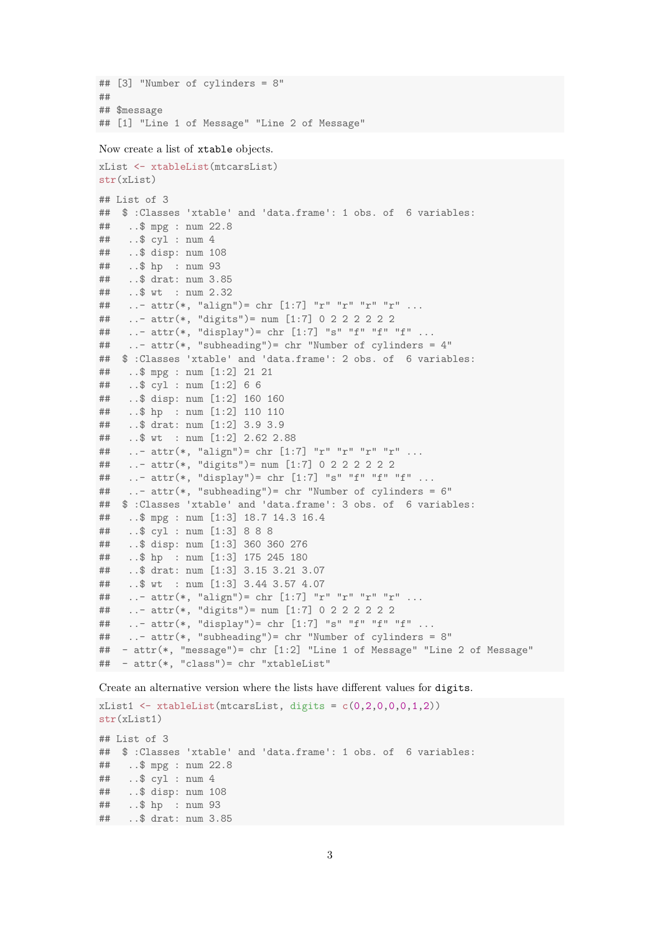```
## [3] "Number of cylinders = 8"
##
## $message
## [1] "Line 1 of Message" "Line 2 of Message"
```
Now create a list of xtable objects.

```
xList <- xtableList(mtcarsList)
str(xList)
## List of 3
## $ :Classes 'xtable' and 'data.frame': 1 obs. of 6 variables:
## ..$ mpg : num 22.8
## ..$ cyl : num 4
## ..$ disp: num 108
## ..$ hp : num 93
## ..$ drat: num 3.85
## ..$ wt : num 2.32
## ..- attr(*, "align") = chr [1:7] "r" "r" "r" "r" ...## ..- attr(*, "digits")= num [1:7] 0 2 2 2 2 2 2
## ..- attr(*, "display")= chr [1:7] "s" "f" "f" "f" ...
## ..- attr(*, "subheading")= chr "Number of cylinders = 4"
## $ :Classes 'xtable' and 'data.frame': 2 obs. of 6 variables:
## ..$ mpg : num [1:2] 21 21
## ..$ cyl : num [1:2] 6 6
## ..$ disp: num [1:2] 160 160
## ..$ hp : num [1:2] 110 110
## ..$ drat: num [1:2] 3.9 3.9
## ..$ wt : num [1:2] 2.62 2.88
## ..- attr(*, "align") = chr [1:7] "r" "r" "r" "r" ...## ..- attr(*, "digits")= num [1:7] 0 2 2 2 2 2 2
## ..- attr(*, "display")= chr [1:7] "s" "f" "f" "f" ...
## ..- attr(*, "subheading")= chr "Number of cylinders = 6"
## $ :Classes 'xtable' and 'data.frame': 3 obs. of 6 variables:
## ..$ mpg : num [1:3] 18.7 14.3 16.4
## ..$ cyl : num [1:3] 8 8 8
## ..$ disp: num [1:3] 360 360 276
## ..$ hp : num [1:3] 175 245 180
## ..$ drat: num [1:3] 3.15 3.21 3.07
## ..$ wt : num [1:3] 3.44 3.57 4.07
## ..- attr(*, "align")= chr [1:7] "r" "r" "r" "r" ...
## ..- attr(*, "digits")= num [1:7] 0 2 2 2 2 2 2
## ..- attr(*, "display")= chr [1:7] "s" "f" "f" "f" ...
## ..- attr(*, "subheading")= chr "Number of cylinders = 8"
## - attr(*, "message")= chr [1:2] "Line 1 of Message" "Line 2 of Message"
## - attr(*, "class")= chr "xtableList"
```
Create an alternative version where the lists have different values for digits.

xList1  $\leftarrow$  xtableList(mtcarsList, digits =  $c(0,2,0,0,0,1,2)$ ) str(xList1) ## List of 3 ## \$ :Classes 'xtable' and 'data.frame': 1 obs. of 6 variables: ## ..\$ mpg : num 22.8 ## ..\$ cyl : num 4 ## ..\$ disp: num 108 ## ..\$ hp : num 93 ## ..\$ drat: num 3.85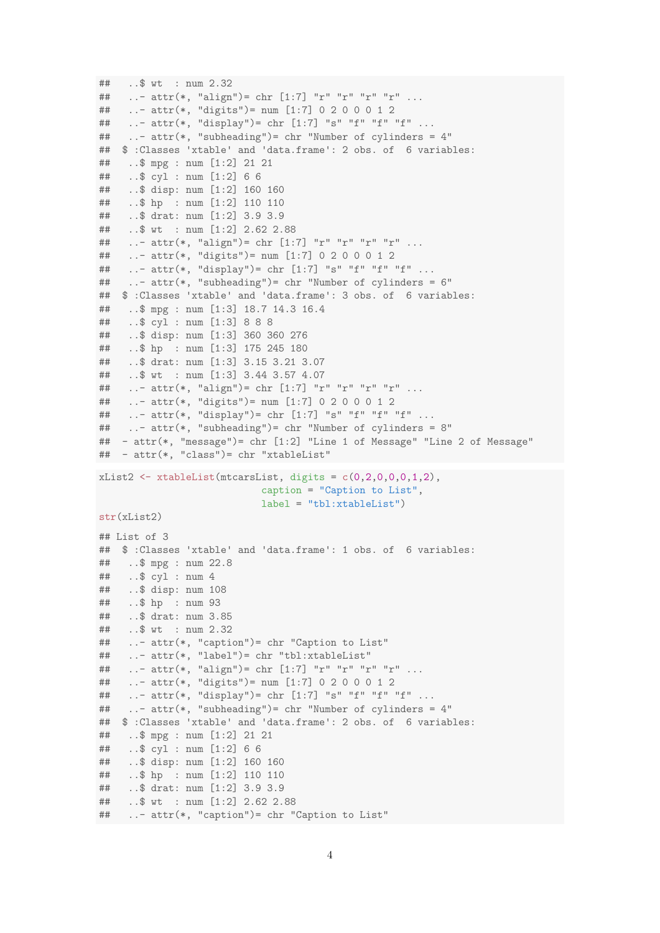```
## ..$ wt : num 2.32
## ..- attr(*, "align")= chr [1:7] "r" "r" "r" "r" ...
## ..- attr(*, "digits")= num [1:7] 0 2 0 0 0 1 2
## ..- attr(*, "display")= chr [1:7] "s" "f" "f" "f" ...
## ..- attr(*, "subheading")= chr "Number of cylinders = 4"
## $ :Classes 'xtable' and 'data.frame': 2 obs. of 6 variables:<br>## . $ mpg : num [1:2] 21 21
    ..$ mpg : num [1:2] 21 21
## ..$ cyl : num [1:2] 6 6
## ..$ disp: num [1:2] 160 160
## ..$ hp : num [1:2] 110 110
## ..$ drat: num [1:2] 3.9 3.9
## ..$ wt : num [1:2] 2.62 2.88
## ..- attr(*, "align") = chr [1:7] "r" "r" "r" "r" ...## ..- attr(*, "digits")= num [1:7] 0 2 0 0 0 1 2
## ..- attr(*, "display")= chr [1:7] "s" "f" "f" "f" ...
## ..- attr(*, "subheading")= chr "Number of cylinders = 6"
## $ :Classes 'xtable' and 'data.frame': 3 obs. of 6 variables:
## ..$ mpg : num [1:3] 18.7 14.3 16.4
## ..$ cyl : num [1:3] 8 8 8
## ..$ disp: num [1:3] 360 360 276
## ..$ hp : num [1:3] 175 245 180
## ..$ drat: num [1:3] 3.15 3.21 3.07
## ..$ wt : num [1:3] 3.44 3.57 4.07
## ..- attr(*, "align")= chr [1:7] "r" "r" "r" "r" ...
## ..- attr(*, "digits")= num [1:7] 0 2 0 0 0 1 2
## ..- attr(*, "display")= chr [1:7] "s" "f" "f" "f" ...
## ..- attr(*, "subheading")= chr "Number of cylinders = 8"
## - attr(*, "message")= chr [1:2] "Line 1 of Message" "Line 2 of Message"
## - attr(*, "class")= chr "xtableList"
xList2 <- xtableList(mtcarsList, digits = c(0,2,0,0,0,1,2),
                           caption = "Caption to List",
                           label = "tbl:xtableList")
str(xList2)
## List of 3
## $ :Classes 'xtable' and 'data.frame': 1 obs. of 6 variables:
## ..$ mpg : num 22.8
## ..$ cyl : num 4
## ..$ disp: num 108
## ..$ hp : num 93
## ..$ drat: num 3.85
## ..$ wt : num 2.32
## ..- attr(*, "caption")= chr "Caption to List"
## ..- attr(*, "label")= chr "tbl:xtableList"
## ..- attr(*, "align")= chr [1:7] "r" "r" "r" "r" ...
## ..- attr(*, "digits")= num [1:7] 0 2 0 0 0 1 2
## ..- attr(*, "display")= chr [1:7] "s" "f" "f" "f" ...
## ..- attr(*, "subheading")= chr "Number of cylinders = 4"
## $ :Classes 'xtable' and 'data.frame': 2 obs. of 6 variables:
## ..$ mpg : num [1:2] 21 21
## ..$ cyl : num [1:2] 6 6
## ..$ disp: num [1:2] 160 160
## ..$ hp : num [1:2] 110 110
## ..$ drat: num [1:2] 3.9 3.9
## ..$ wt : num [1:2] 2.62 2.88
## ..- attr(*, "caption")= chr "Caption to List"
```

```
4
```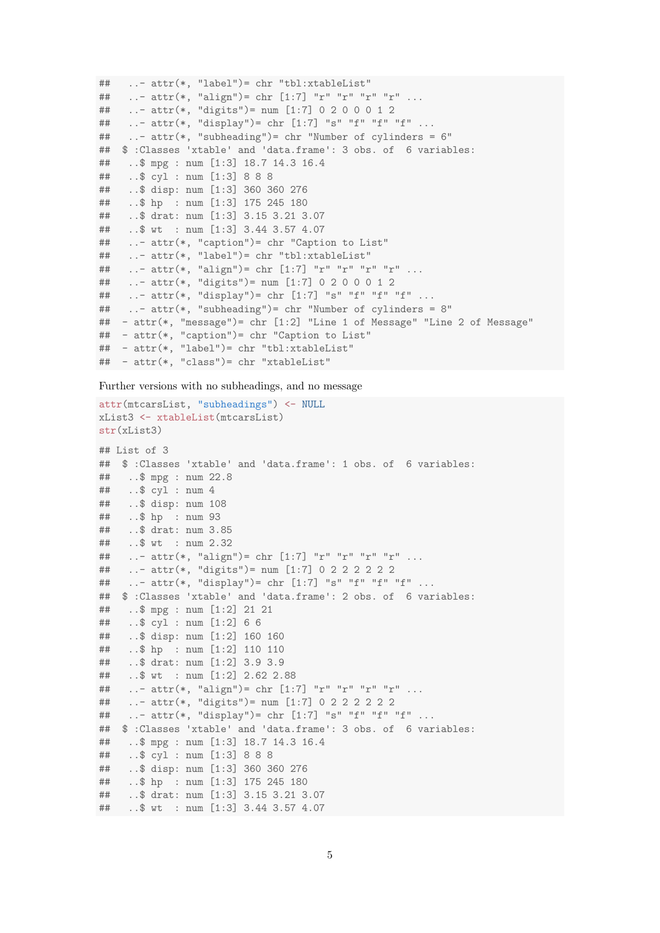```
## ..- attr(*, "label")= chr "tbl:xtableList"
## ..- attr(*, "align")= chr [1:7] "r" "r" "r" "r" ...
## ..- attr(*, "digits")= num [1:7] 0 2 0 0 0 1 2
## ..- attr(*, "display")= chr [1:7] "s" "f" "f" "f" ...
## ..- attr(*, "subheading")= chr "Number of cylinders = 6"
## $ :Classes 'xtable' and 'data.frame': 3 obs. of 6 variables:
## ..$ mpg : num [1:3] 18.7 14.3 16.4
## ..$ cyl : num [1:3] 8 8 8
## ..$ disp: num [1:3] 360 360 276
## ..$ hp : num [1:3] 175 245 180
## ..$ drat: num [1:3] 3.15 3.21 3.07
## ..$ wt : num [1:3] 3.44 3.57 4.07
## ..- attr(*, "caption")= chr "Caption to List"
## ..- attr(*, "label")= chr "tbl:xtableList"
## ...- attr(*, "align") = chr [1:7] "r" "r" "r" "r" ...## ..- attr(*, "digits")= num [1:7] 0 2 0 0 0 1 2
## ..- attr(*, "display")= chr [1:7] "s" "f" "f" "f" ...
## ..- attr(*, "subheading")= chr "Number of cylinders = 8"
## - attr(*, "message")= chr [1:2] "Line 1 of Message" "Line 2 of Message"
## - attr(*, "caption")= chr "Caption to List"
## - attr(*, "label")= chr "tbl:xtableList"
## - attr(*, "class")= chr "xtableList"
```
Further versions with no subheadings, and no message

```
attr(mtcarsList, "subheadings") <- NULL
xList3 <- xtableList(mtcarsList)
str(xList3)
## List of 3
## $ :Classes 'xtable' and 'data.frame': 1 obs. of 6 variables:
## ..$ mpg : num 22.8
## ..$ cyl : num 4
## ..$ disp: num 108
## ..$ hp : num 93
## ..$ drat: num 3.85
## ..$ wt : num 2.32
## ..- attr(*, "align")= chr [1:7] "r" "r" "r" "r" ...
## ..- attr(*, "digits")= num [1:7] 0 2 2 2 2 2 2
## ..- attr(*, "display")= chr [1:7] "s" "f" "f" "f" ...
## $ :Classes 'xtable' and 'data.frame': 2 obs. of 6 variables:
## ..$ mpg : num [1:2] 21 21
## ..$ cyl : num [1:2] 6 6
## ..$ disp: num [1:2] 160 160
## ..$ hp : num [1:2] 110 110
## ..$ drat: num [1:2] 3.9 3.9
## ..$ wt : num [1:2] 2.62 2.88
## ..- attr(*, "align") = chr [1:7] "r" "r" "r" "r" ...## ..- attr(*, "digits")= num [1:7] 0 2 2 2 2 2 2
## ..- attr(*, "display")= chr [1:7] "s" "f" "f" "f" ...
## $ :Classes 'xtable' and 'data.frame': 3 obs. of 6 variables:
## ..$ mpg : num [1:3] 18.7 14.3 16.4
## ..$ cyl : num [1:3] 8 8 8
## ..$ disp: num [1:3] 360 360 276
## ..$ hp : num [1:3] 175 245 180
## ..$ drat: num [1:3] 3.15 3.21 3.07
## ..$ wt : num [1:3] 3.44 3.57 4.07
```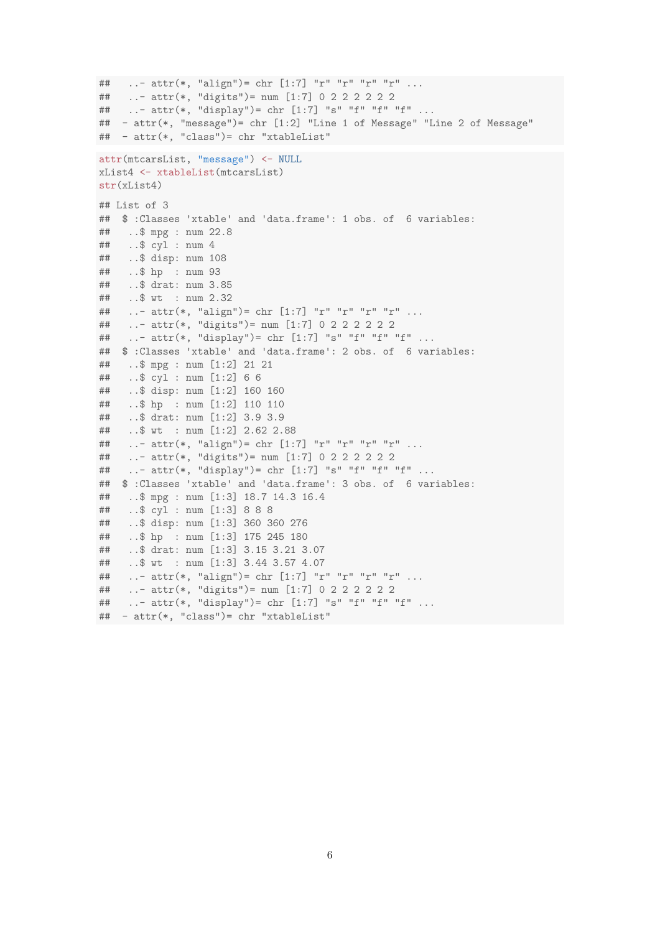```
## ..- attr(*, "align")= chr [1:7] "r" "r" "r" "r" ...
## ..- attr(*, "digits")= num [1:7] 0 2 2 2 2 2 2
    ..- attr(*, "display") = chr [1:7] "s" "f" "f" "f" ...#### - attr(*, "message")= chr [1:2] "Line 1 of Message" "Line 2 of Message"
## - attr(*, "class")= chr "xtableList"
attr(mtcarsList, "message") <- NULL
xList4 <- xtableList(mtcarsList)
str(xList4)\# List of 3
## $ :Classes 'xtable' and 'data.frame': 1 obs. of 6 variables:
##\ldots $ mpg : num 22.8
##\ldots$ cyl : num 4
   \ldots$ disp: num 108
##..$ hp : num 93
##..$ drat: num 3.85
####.5 wt : num 2.32
##..- attr(*, "align") = chr [1:7] "r" "r" "r" "r" .....- attr(*, "digits")= num [1:7] 0 2 2 2 2 2 2
##..- attr(*, "display") = chr [1:7] "s" "f" "f" "f" ...#### $ :Classes 'xtable' and 'data.frame': 2 obs. of 6 variables:
##\ldots$ mpg : num [1:2] 21 21
    ..$ cyl : num [1:2] 6 6
##..$ disp: num [1:2] 160 160
##..$ hp : num [1:2] 110 110
####..$ drat: num [1:2] 3.9 3.9
##..$ wt : num [1:2] 2.62 2.88
    ..- attr(*, "align")= chr [1:7] "r" "r" "r" "r" ...
##..- attr(*, "digits") = num [1:7] 0 2 2 2 2 2 2##..- attr(*, "display") = chr [1:7] "s" "f" "f" "f" ...#### $ :Classes 'xtable' and 'data.frame': 3 obs. of 6 variables:
    .. $ mpg : num [1:3] 18.7 14.3 16.4
####..$ cyl : num [1:3] 8 8 8
##..$ disp: num [1:3] 360 360 276
##\ldots$ hp : num [1:3] 175 245 180
##..$ drat: num [1:3] 3.15 3.21 3.07
    ..$ wt : num [1:3] 3.44 3.57 4.07
##..- attr(*, "align")= chr [1:7] "r" "r" "r" "r" ...
####..- attr(*, "display") = chr [1:7] "s" "f" "f" "f" ...#### - attr(*, "class")= chr "xtableList"
```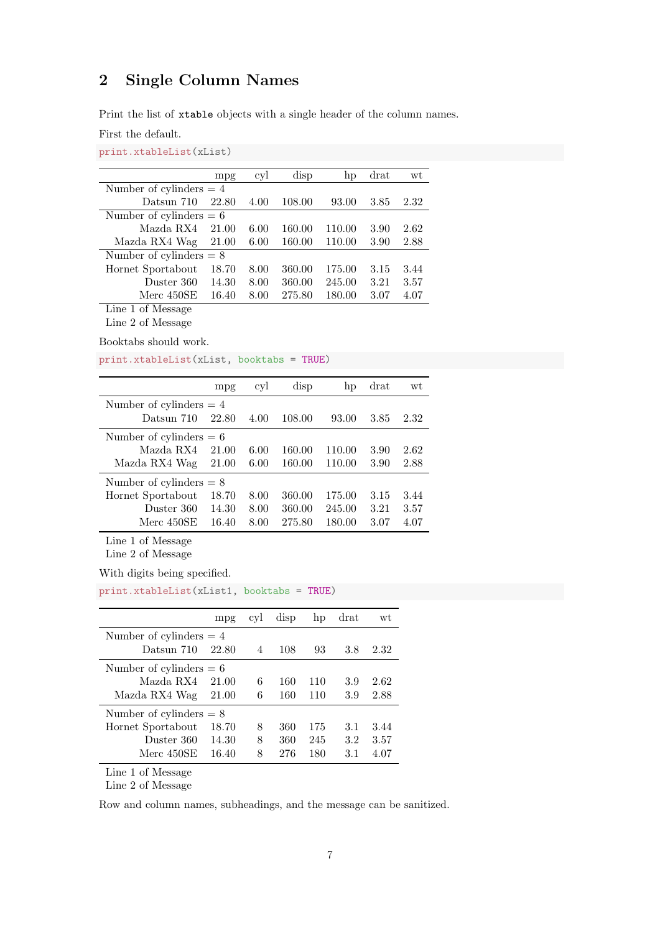### <span id="page-6-0"></span>2 Single Column Names

Print the list of xtable objects with a single header of the column names.

First the default.

### print.xtableList(xList)

|                           | mpg   | cyl  | disp   | hp     | drat | wt   |
|---------------------------|-------|------|--------|--------|------|------|
| Number of cylinders $= 4$ |       |      |        |        |      |      |
| Datsun 710                | 22.80 | 4.00 | 108.00 | 93.00  | 3.85 | 2.32 |
| Number of cylinders $= 6$ |       |      |        |        |      |      |
| Mazda RX4                 | 21.00 | 6.00 | 160.00 | 110.00 | 3.90 | 2.62 |
| Mazda RX4 Wag             | 21.00 | 6.00 | 160.00 | 110.00 | 3.90 | 2.88 |
| Number of cylinders $= 8$ |       |      |        |        |      |      |
| Hornet Sportabout         | 18.70 | 8.00 | 360.00 | 175.00 | 3.15 | 3.44 |
| Duster 360                | 14.30 | 8.00 | 360.00 | 245.00 | 3.21 | 3.57 |
| Merc 450SE                | 16.40 | 8.00 | 275.80 | 180.00 | 3.07 | 4.07 |
| Line 1 of Message         |       |      |        |        |      |      |

Line 2 of Message

Booktabs should work.

print.xtableList(xList, booktabs = TRUE)

|                           | mpg   | cyl  | disp   | hp     | drat | wt   |
|---------------------------|-------|------|--------|--------|------|------|
| Number of cylinders $= 4$ |       |      |        |        |      |      |
| Datsun 710                | 22.80 | 4.00 | 108.00 | 93.00  | 3.85 | 2.32 |
| Number of cylinders $= 6$ |       |      |        |        |      |      |
| Mazda RX4                 | 21.00 | 6.00 | 160.00 | 110.00 | 3.90 | 2.62 |
| Mazda RX4 Wag             | 21.00 | 6.00 | 160.00 | 110.00 | 3.90 | 2.88 |
| Number of cylinders $= 8$ |       |      |        |        |      |      |
| Hornet Sportabout         | 18.70 | 8.00 | 360.00 | 175.00 | 3.15 | 3.44 |
| Duster 360                | 14.30 | 8.00 | 360.00 | 245.00 | 3.21 | 3.57 |
| Merc 450SE                | 16.40 | 8.00 | 275.80 | 180.00 | 3.07 | 4.07 |

Line 1 of Message

Line 2 of Message

With digits being specified.

| print.xtableList(xList1, booktabs = TRUE) |  |
|-------------------------------------------|--|
|-------------------------------------------|--|

|                           | mpg   | cyl | disp | hp  | drat | wt   |
|---------------------------|-------|-----|------|-----|------|------|
| Number of cylinders $= 4$ |       |     |      |     |      |      |
| Datsun 710                | 22.80 | 4   | 108  | 93  | 3.8  | 2.32 |
| Number of cylinders $= 6$ |       |     |      |     |      |      |
| Mazda RX4                 | 21.00 | 6   | 160  | 110 | 3.9  | 2.62 |
| Mazda RX4 Wag             | 21.00 | 6   | 160  | 110 | 3.9  | 2.88 |
| Number of cylinders $= 8$ |       |     |      |     |      |      |
| Hornet Sportabout         | 18.70 | 8   | 360  | 175 | 3.1  | 3.44 |
| Duster 360                | 14.30 | 8   | 360  | 245 | 3.2  | 3.57 |
| Merc 450SE                | 16.40 | 8   | 276  | 180 | 3.1  | 4.07 |

Line 1 of Message

Line 2 of Message

Row and column names, subheadings, and the message can be sanitized.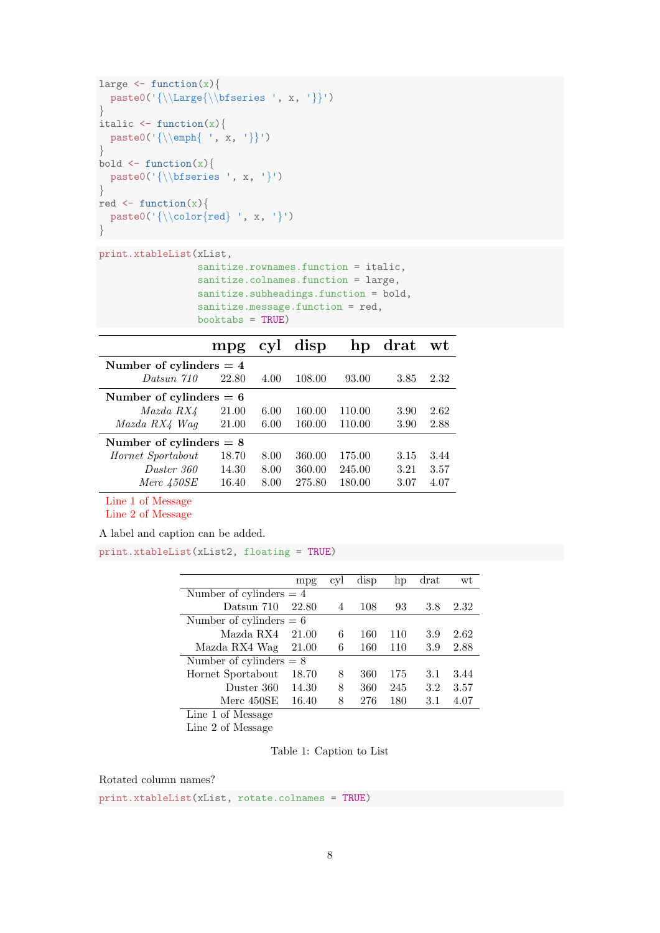```
large \leq function(x){
  paste0('{\\Large{\\bfseries ', x, '}}')
}
italic \leftarrow function(x)paste0('{\\emph{ ', x, '}}')
}
bold \leftarrow function(x)paste0('{\\bfseries ', x, '}')
}
red \leftarrow function(x){
  paste0('{\\color{red} ', x, '}')
}
```

```
print.xtableList(xList,
                 sanitize.rownames.function = italic,
                 sanitize.colnames.function = large,
                sanitize.subheadings.function = bold,
                 sanitize.message.function = red,
                booktabs = TRUE)
```

|                           | mpg   |      | cyl disp | hp     | $\bm{{\rm drat}}$ | wt   |
|---------------------------|-------|------|----------|--------|-------------------|------|
| Number of cylinders $= 4$ |       |      |          |        |                   |      |
| Datsun 710                | 22.80 | 4.00 | 108.00   | 93.00  | 3.85              | 2.32 |
| Number of cylinders $= 6$ |       |      |          |        |                   |      |
| Mazda RX4                 | 21.00 | 6.00 | 160.00   | 110.00 | 3.90              | 2.62 |
| Mazda RX4 Wag             | 21.00 | 6.00 | 160.00   | 110.00 | 3.90              | 2.88 |
| Number of cylinders $= 8$ |       |      |          |        |                   |      |
| Hornet Sportabout         | 18.70 | 8.00 | 360.00   | 175.00 | 3.15              | 3.44 |
| Duster 360                | 14.30 | 8.00 | 360.00   | 245.00 | 3.21              | 3.57 |
| Merc 450SE                | 16.40 | 8.00 | 275.80   | 180.00 | 3.07              | 4.07 |

Line 1 of Message

Line 2 of Message

A label and caption can be added.

print.xtableList(xList2, floating = TRUE)

|                           | mpg   | cyl | disp | hp  | drat | wt   |
|---------------------------|-------|-----|------|-----|------|------|
| Number of cylinders $= 4$ |       |     |      |     |      |      |
| Datsun 710                | 22.80 | 4   | 108  | 93  | 3.8  | 2.32 |
| Number of cylinders $= 6$ |       |     |      |     |      |      |
| Mazda RX4                 | 21.00 | 6   | 160  | 110 | 3.9  | 2.62 |
| Mazda RX4 Wag             | 21.00 | 6   | 160  | 110 | 3.9  | 2.88 |
| Number of cylinders $= 8$ |       |     |      |     |      |      |
| Hornet Sportabout         | 18.70 | 8   | 360  | 175 | 3.1  | 3.44 |
| Duster 360                | 14.30 | 8   | 360  | 245 | 3.2  | 3.57 |
| Merc 450SE                | 16.40 | 8   | 276  | 180 | 3.1  | 4.07 |
| Line 1 of Message         |       |     |      |     |      |      |

Line 2 of Message

Table 1: Caption to List

Rotated column names?

print.xtableList(xList, rotate.colnames = TRUE)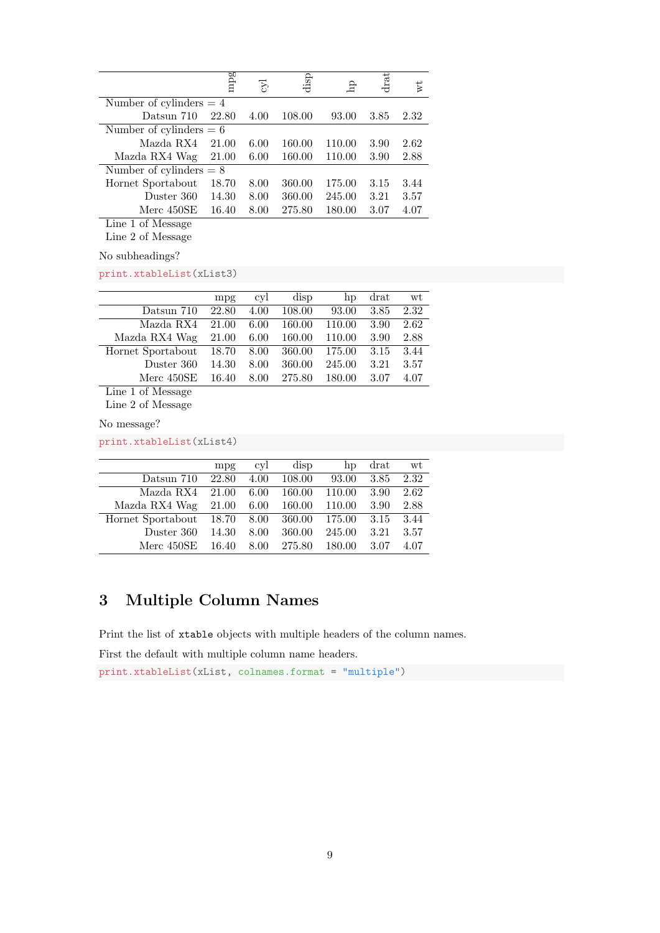|                           | mpg   | $E_{\rm D}$ | disp   | 요      | drat | wt   |  |
|---------------------------|-------|-------------|--------|--------|------|------|--|
| Number of cylinders $= 4$ |       |             |        |        |      |      |  |
| Datsun 710                | 22.80 | 4.00        | 108.00 | 93.00  | 3.85 | 2.32 |  |
| Number of cylinders $= 6$ |       |             |        |        |      |      |  |
| Mazda RX4                 | 21.00 | 6.00        | 160.00 | 110.00 | 3.90 | 2.62 |  |
| Mazda RX4 Wag             | 21.00 | 6.00        | 160.00 | 110.00 | 3.90 | 2.88 |  |
| Number of cylinders $= 8$ |       |             |        |        |      |      |  |
| Hornet Sportabout         | 18.70 | 8.00        | 360.00 | 175.00 | 3.15 | 3.44 |  |
| Duster 360                | 14.30 | 8.00        | 360.00 | 245.00 | 3.21 | 3.57 |  |
| Merc 450SE                | 16.40 | 8.00        | 275.80 | 180.00 | 3.07 | 4.07 |  |
| Line 1 of Message         |       |             |        |        |      |      |  |

Line 2 of Message

No subheadings?

print.xtableList(xList3)

|                                       | mpg   | <sub>cy</sub> l | disp   | hp     | drat | wt   |
|---------------------------------------|-------|-----------------|--------|--------|------|------|
| Datsun 710                            | 22.80 | 4.00            | 108.00 | 93.00  | 3.85 | 2.32 |
| Mazda RX4                             | 21.00 | 6.00            | 160.00 | 110.00 | 3.90 | 2.62 |
| Mazda RX4 Wag                         | 21.00 | 6.00            | 160.00 | 110.00 | 3.90 | 2.88 |
| Hornet Sportabout                     | 18.70 | 8.00            | 360.00 | 175.00 | 3.15 | 3.44 |
| Duster 360                            | 14.30 | 8.00            | 360.00 | 245.00 | 3.21 | 3.57 |
| Merc $450SE$                          | 16.40 | 8.00            | 275.80 | 180.00 | 3.07 | 4.07 |
| $c \rightarrow r$<br><b>T</b> .<br>и. |       |                 |        |        |      |      |

Line 1 of Message Line 2 of Message

No message?

print.xtableList(xList4)

|                   | mpg   | <sub>cy</sub> l | disp   | hp     | drat | wt   |
|-------------------|-------|-----------------|--------|--------|------|------|
| Datsun 710        | 22.80 | 4.00            | 108.00 | 93.00  | 3.85 | 2.32 |
| Mazda RX4         | 21.00 | 6.00            | 160.00 | 110.00 | 3.90 | 2.62 |
| Mazda RX4 Wag     | 21.00 | 6.00            | 160.00 | 110.00 | 3.90 | 2.88 |
| Hornet Sportabout | 18.70 | 8.00            | 360.00 | 175.00 | 3.15 | 3.44 |
| Duster 360        | 14.30 | 8.00            | 360.00 | 245.00 | 3.21 | 3.57 |
| Merc 450SE        | 16.40 | 8.00            | 275.80 | 180.00 | 3.07 | 4.07 |

### <span id="page-8-0"></span>3 Multiple Column Names

Print the list of xtable objects with multiple headers of the column names.

First the default with multiple column name headers.

print.xtableList(xList, colnames.format = "multiple")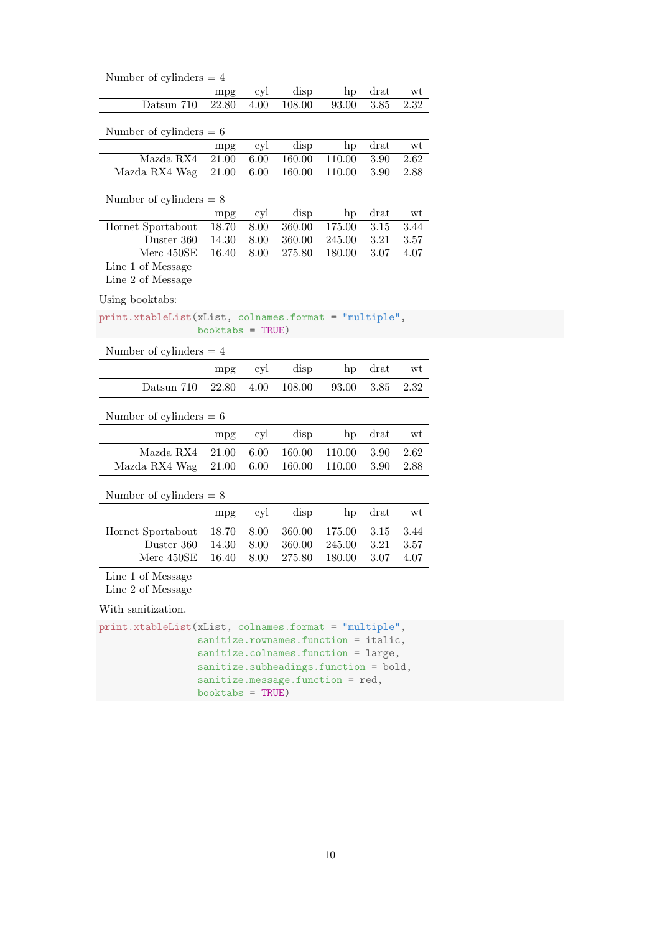| Number of cylinders $= 4$                             |                    |      |                                       |        |          |                     |  |  |  |  |  |  |
|-------------------------------------------------------|--------------------|------|---------------------------------------|--------|----------|---------------------|--|--|--|--|--|--|
|                                                       | mpg                | cyl  | disp                                  | hp     | drat     | wt                  |  |  |  |  |  |  |
| Datsun 710                                            | 22.80              | 4.00 | 108.00                                | 93.00  | 3.85     | 2.32                |  |  |  |  |  |  |
|                                                       |                    |      |                                       |        |          |                     |  |  |  |  |  |  |
| Number of cylinders $= 6$                             |                    |      |                                       |        |          |                     |  |  |  |  |  |  |
|                                                       | mpg                | cyl  | disp                                  | hp     | drat     | $\operatorname{wt}$ |  |  |  |  |  |  |
| Mazda RX4                                             | $\overline{21.00}$ | 6.00 | 160.00                                | 110.00 | 3.90     | 2.62                |  |  |  |  |  |  |
| Mazda RX4 Wag                                         | 21.00              | 6.00 | 160.00                                | 110.00 | 3.90     | 2.88                |  |  |  |  |  |  |
| Number of cylinders $= 8$                             |                    |      |                                       |        |          |                     |  |  |  |  |  |  |
|                                                       |                    |      |                                       |        |          |                     |  |  |  |  |  |  |
|                                                       | mpg                | cyl  | disp                                  | hp     | drat     | wt                  |  |  |  |  |  |  |
| Hornet Sportabout                                     | 18.70              | 8.00 | 360.00                                | 175.00 | 3.15     | 3.44                |  |  |  |  |  |  |
| Duster 360                                            | 14.30              | 8.00 | 360.00                                | 245.00 | 3.21     | 3.57                |  |  |  |  |  |  |
| Merc 450SE                                            | 16.40              | 8.00 | 275.80                                | 180.00 | 3.07     | 4.07                |  |  |  |  |  |  |
| Line 1 of Message                                     |                    |      |                                       |        |          |                     |  |  |  |  |  |  |
| Line 2 of Message                                     |                    |      |                                       |        |          |                     |  |  |  |  |  |  |
| Using booktabs:                                       |                    |      |                                       |        |          |                     |  |  |  |  |  |  |
| print.xtableList(xList, colnames.format = "multiple", |                    |      |                                       |        |          |                     |  |  |  |  |  |  |
|                                                       | booktabs = $TRUE)$ |      |                                       |        |          |                     |  |  |  |  |  |  |
| Number of cylinders $= 4$                             |                    |      |                                       |        |          |                     |  |  |  |  |  |  |
|                                                       | mpg                | cyl  | disp                                  | hp     | drat     | wt                  |  |  |  |  |  |  |
| Datsun 710                                            | 22.80              | 4.00 | 108.00                                | 93.00  | 3.85     | 2.32                |  |  |  |  |  |  |
|                                                       |                    |      |                                       |        |          |                     |  |  |  |  |  |  |
| Number of cylinders $= 6$                             |                    |      |                                       |        |          |                     |  |  |  |  |  |  |
|                                                       | mpg                | cyl  | disp                                  | hp     | drat     | wt                  |  |  |  |  |  |  |
| Mazda RX4                                             | 21.00              | 6.00 | 160.00                                | 110.00 | 3.90     | 2.62                |  |  |  |  |  |  |
| Mazda RX4 Wag                                         | 21.00              | 6.00 | 160.00                                | 110.00 | 3.90     | 2.88                |  |  |  |  |  |  |
|                                                       |                    |      |                                       |        |          |                     |  |  |  |  |  |  |
| Number of cylinders $= 8$                             |                    |      |                                       |        |          |                     |  |  |  |  |  |  |
|                                                       | mpg                | cyl  | disp                                  | hp     | drat     | wt                  |  |  |  |  |  |  |
| Hornet Sportabout                                     | 18.70              | 8.00 | 360.00                                | 175.00 | 3.15     | 3.44                |  |  |  |  |  |  |
| Duster 360                                            | 14.30              | 8.00 | 360.00                                | 245.00 | $3.21\,$ | 3.57                |  |  |  |  |  |  |
| Merc 450SE                                            | 16.40              | 8.00 | 275.80                                | 180.00 | 3.07     | 4.07                |  |  |  |  |  |  |
| Line 1 of Message                                     |                    |      |                                       |        |          |                     |  |  |  |  |  |  |
| Line 2 of Message                                     |                    |      |                                       |        |          |                     |  |  |  |  |  |  |
| With sanitization.                                    |                    |      |                                       |        |          |                     |  |  |  |  |  |  |
| print.xtableList(xList, colnames.format = "multiple", |                    |      |                                       |        |          |                     |  |  |  |  |  |  |
|                                                       |                    |      | sanitize.rownames.function = italic,  |        |          |                     |  |  |  |  |  |  |
|                                                       |                    |      | sanitize.colnames.function = large,   |        |          |                     |  |  |  |  |  |  |
|                                                       |                    |      | sanitize.subheadings.function = bold, |        |          |                     |  |  |  |  |  |  |
|                                                       |                    |      | sanitize.message.function = red,      |        |          |                     |  |  |  |  |  |  |
|                                                       | booktabs = $TRUE)$ |      |                                       |        |          |                     |  |  |  |  |  |  |
|                                                       |                    |      |                                       |        |          |                     |  |  |  |  |  |  |
|                                                       |                    |      |                                       |        |          |                     |  |  |  |  |  |  |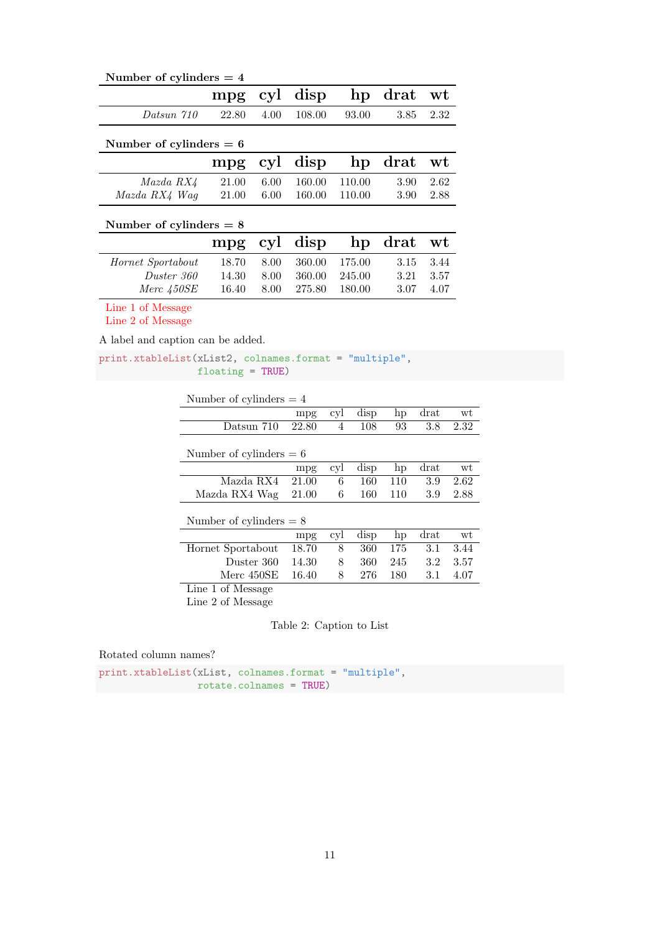| Number of cylinders $= 4$ |                           |      |        |        |      |      |  |  |
|---------------------------|---------------------------|------|--------|--------|------|------|--|--|
|                           | mpg                       | cyl  | disp   | hp     | drat | wt   |  |  |
| Datsun 710                | 22.80                     | 4.00 | 108.00 | 93.00  | 3.85 | 2.32 |  |  |
| Number of cylinders $= 6$ |                           |      |        |        |      |      |  |  |
|                           | mpg                       | cyl  | disp   | hp     | drat | wt   |  |  |
| Mazda RX4                 | 21.00                     | 6.00 | 160.00 | 110.00 | 3.90 | 2.62 |  |  |
| Mazda RX4 Wag             | 21.00                     | 6.00 | 160.00 | 110.00 | 3.90 | 2.88 |  |  |
|                           | Number of cylinders $= 8$ |      |        |        |      |      |  |  |
|                           | mpg                       | cyl  | disp   | hp     | drat | wt   |  |  |
| Hornet Sportabout         | 18.70                     | 8.00 | 360.00 | 175.00 | 3.15 | 3.44 |  |  |
| Duster 360                | 14.30                     | 8.00 | 360.00 | 245.00 | 3.21 | 3.57 |  |  |
| Merc 450SE                | 16.40                     | 8.00 | 275.80 | 180.00 | 3.07 | 4.07 |  |  |

Line 1 of Message

Line 2 of Message

A label and caption can be added.

print.xtableList(xList2, colnames.format = "multiple", floating = TRUE)

| Number of cylinders $= 4$ |       |     |      |     |        |      |  |
|---------------------------|-------|-----|------|-----|--------|------|--|
|                           | mpg   | cyl | disp | hp  | $drat$ | wt   |  |
| Datsun 710                | 22.80 | 4   | 108  | 93  | 3.8    | 2.32 |  |
| Number of cylinders $= 6$ |       |     |      |     |        |      |  |
|                           | mpg   | cyl | disp | hp  | drat   | wt   |  |
| Mazda RX4                 | 21.00 | 6   | 160  | 110 | 3.9    | 2.62 |  |
| Mazda RX4 Wag             | 21.00 | 6   | 160  | 110 | 3.9    | 2.88 |  |
| Number of cylinders $= 8$ |       |     |      |     |        |      |  |
|                           | mpg   | cyl | disp | hp  | $drat$ | wt   |  |
| Hornet Sportabout         | 18.70 | 8   | 360  | 175 | 3.1    | 3.44 |  |
| Duster 360                | 14.30 | 8   | 360  | 245 | 3.2    | 3.57 |  |
| Merc 450SE                | 16.40 | 8   | 276  | 180 | 3.1    | 4.07 |  |
| Line 1 of Message         |       |     |      |     |        |      |  |

Line 2 of Message

Table 2: Caption to List

Rotated column names?

print.xtableList(xList, colnames.format = "multiple", rotate.colnames = TRUE)